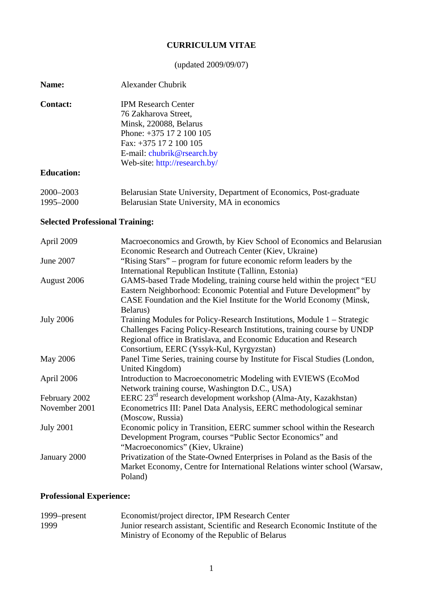## **CURRICULUM VITAE**

## (updated 2009/09/07)

| <b>Name:</b>      | Alexander Chubrik                                       |
|-------------------|---------------------------------------------------------|
| <b>Contact:</b>   | <b>IPM Research Center</b>                              |
|                   | 76 Zakharova Street,                                    |
|                   | Minsk, 220088, Belarus                                  |
|                   | Phone: $+375$ 17 2 100 105                              |
|                   | Fax: $+375$ 17 2 100 105                                |
|                   | E-mail: chubrik@rsearch.by                              |
|                   | Web-site: http://research.by/                           |
| <b>Education:</b> |                                                         |
| 2000-2003         | Belarusian State University, Department of Economics, F |

## Post-graduate 1995–2000 Belarusian State University, MA in economics

## **Selected Professional Training:**

| April 2009       | Macroeconomics and Growth, by Kiev School of Economics and Belarusian                                                                                                                                                                                     |
|------------------|-----------------------------------------------------------------------------------------------------------------------------------------------------------------------------------------------------------------------------------------------------------|
|                  | Economic Research and Outreach Center (Kiev, Ukraine)                                                                                                                                                                                                     |
| June 2007        | "Rising Stars" – program for future economic reform leaders by the                                                                                                                                                                                        |
|                  | International Republican Institute (Tallinn, Estonia)                                                                                                                                                                                                     |
| August 2006      | GAMS-based Trade Modeling, training course held within the project "EU                                                                                                                                                                                    |
|                  | Eastern Neighborhood: Economic Potential and Future Development" by                                                                                                                                                                                       |
|                  | CASE Foundation and the Kiel Institute for the World Economy (Minsk,                                                                                                                                                                                      |
|                  | Belarus)                                                                                                                                                                                                                                                  |
| <b>July 2006</b> | Training Modules for Policy-Research Institutions, Module 1 – Strategic                                                                                                                                                                                   |
|                  | Challenges Facing Policy-Research Institutions, training course by UNDP                                                                                                                                                                                   |
|                  | Regional office in Bratislava, and Economic Education and Research                                                                                                                                                                                        |
|                  | Consortium, EERC (Yssyk-Kul, Kyrgyzstan)                                                                                                                                                                                                                  |
| <b>May 2006</b>  | Panel Time Series, training course by Institute for Fiscal Studies (London,                                                                                                                                                                               |
|                  | United Kingdom)                                                                                                                                                                                                                                           |
| April 2006       | Introduction to Macroeconometric Modeling with EVIEWS (EcoMod                                                                                                                                                                                             |
|                  | Network training course, Washington D.C., USA)                                                                                                                                                                                                            |
| February 2002    | EERC $23^{rd}$ research development workshop (Alma-Aty, Kazakhstan)                                                                                                                                                                                       |
| November 2001    | Econometrics III: Panel Data Analysis, EERC methodological seminar                                                                                                                                                                                        |
|                  | (Moscow, Russia)                                                                                                                                                                                                                                          |
| <b>July 2001</b> | Economic policy in Transition, EERC summer school within the Research                                                                                                                                                                                     |
|                  |                                                                                                                                                                                                                                                           |
|                  |                                                                                                                                                                                                                                                           |
|                  |                                                                                                                                                                                                                                                           |
|                  |                                                                                                                                                                                                                                                           |
|                  | Poland)                                                                                                                                                                                                                                                   |
| January 2000     | Development Program, courses "Public Sector Economics" and<br>"Macroeconomics" (Kiev, Ukraine)<br>Privatization of the State-Owned Enterprises in Poland as the Basis of the<br>Market Economy, Centre for International Relations winter school (Warsaw, |

# **Professional Experience:**

| 1999–present | Economist/project director, IPM Research Center                              |
|--------------|------------------------------------------------------------------------------|
| 1999         | Junior research assistant, Scientific and Research Economic Institute of the |
|              | Ministry of Economy of the Republic of Belarus                               |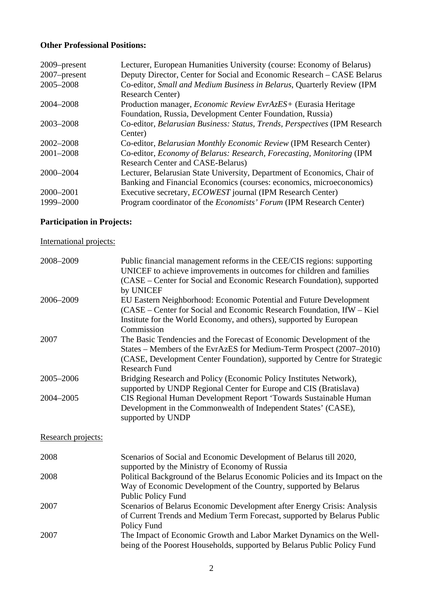## **Other Professional Positions:**

| 2009–present<br>2007-present | Lecturer, European Humanities University (course: Economy of Belarus)<br>Deputy Director, Center for Social and Economic Research - CASE Belarus |
|------------------------------|--------------------------------------------------------------------------------------------------------------------------------------------------|
| 2005-2008                    | Co-editor, Small and Medium Business in Belarus, Quarterly Review (IPM<br><b>Research Center)</b>                                                |
| 2004-2008                    | Production manager, <i>Economic Review EvrAzES</i> + (Eurasia Heritage<br>Foundation, Russia, Development Center Foundation, Russia)             |
| 2003-2008                    | Co-editor, Belarusian Business: Status, Trends, Perspectives (IPM Research<br>Center)                                                            |
| 2002-2008                    | Co-editor, Belarusian Monthly Economic Review (IPM Research Center)                                                                              |
| 2001-2008                    | Co-editor, Economy of Belarus: Research, Forecasting, Monitoring (IPM<br><b>Research Center and CASE-Belarus)</b>                                |
| 2000-2004                    | Lecturer, Belarusian State University, Department of Economics, Chair of<br>Banking and Financial Economics (courses: economics, microeconomics) |
| 2000-2001                    | Executive secretary, <i>ECOWEST</i> journal (IPM Research Center)                                                                                |
| 1999-2000                    | Program coordinator of the <i>Economists' Forum</i> (IPM Research Center)                                                                        |

# **Participation in Projects:**

# International projects:

| 2008-2009          | Public financial management reforms in the CEE/CIS regions: supporting<br>UNICEF to achieve improvements in outcomes for children and families<br>(CASE – Center for Social and Economic Research Foundation), supported<br>by UNICEF            |
|--------------------|--------------------------------------------------------------------------------------------------------------------------------------------------------------------------------------------------------------------------------------------------|
| 2006-2009          | EU Eastern Neighborhood: Economic Potential and Future Development<br>(CASE – Center for Social and Economic Research Foundation, IfW – Kiel<br>Institute for the World Economy, and others), supported by European<br>Commission                |
| 2007               | The Basic Tendencies and the Forecast of Economic Development of the<br>States - Members of the EvrAzES for Medium-Term Prospect (2007-2010)<br>(CASE, Development Center Foundation), supported by Centre for Strategic<br><b>Research Fund</b> |
| 2005-2006          | Bridging Research and Policy (Economic Policy Institutes Network),<br>supported by UNDP Regional Center for Europe and CIS (Bratislava)                                                                                                          |
| 2004-2005          | CIS Regional Human Development Report 'Towards Sustainable Human<br>Development in the Commonwealth of Independent States' (CASE),<br>supported by UNDP                                                                                          |
| Research projects: |                                                                                                                                                                                                                                                  |
| 2008               | Scenarios of Social and Economic Development of Belarus till 2020,<br>supported by the Ministry of Economy of Russia                                                                                                                             |
| 2008               | Political Background of the Belarus Economic Policies and its Impact on the<br>Way of Economic Development of the Country, supported by Belarus<br><b>Public Policy Fund</b>                                                                     |
| 2007               | Scenarios of Belarus Economic Development after Energy Crisis: Analysis<br>of Current Trends and Medium Term Forecast, supported by Belarus Public<br>Policy Fund                                                                                |
| 2007               | The Impact of Economic Growth and Labor Market Dynamics on the Well-<br>being of the Poorest Households, supported by Belarus Public Policy Fund                                                                                                 |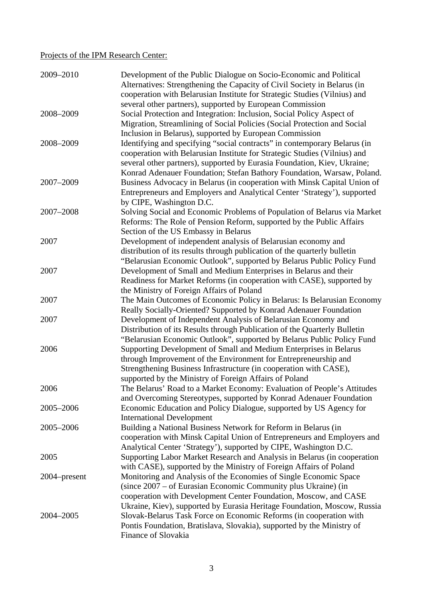## Projects of the IPM Research Center:

| 2009-2010    | Development of the Public Dialogue on Socio-Economic and Political<br>Alternatives: Strengthening the Capacity of Civil Society in Belarus (in<br>cooperation with Belarusian Institute for Strategic Studies (Vilnius) and                                                                   |
|--------------|-----------------------------------------------------------------------------------------------------------------------------------------------------------------------------------------------------------------------------------------------------------------------------------------------|
| 2008-2009    | several other partners), supported by European Commission<br>Social Protection and Integration: Inclusion, Social Policy Aspect of<br>Migration, Streamlining of Social Policies (Social Protection and Social                                                                                |
| 2008-2009    | Inclusion in Belarus), supported by European Commission<br>Identifying and specifying "social contracts" in contemporary Belarus (in<br>cooperation with Belarusian Institute for Strategic Studies (Vilnius) and<br>several other partners), supported by Eurasia Foundation, Kiev, Ukraine; |
| 2007-2009    | Konrad Adenauer Foundation; Stefan Bathory Foundation, Warsaw, Poland.<br>Business Advocacy in Belarus (in cooperation with Minsk Capital Union of<br>Entrepreneurs and Employers and Analytical Center 'Strategy'), supported<br>by CIPE, Washington D.C.                                    |
| 2007-2008    | Solving Social and Economic Problems of Population of Belarus via Market<br>Reforms: The Role of Pension Reform, supported by the Public Affairs                                                                                                                                              |
| 2007         | Section of the US Embassy in Belarus<br>Development of independent analysis of Belarusian economy and<br>distribution of its results through publication of the quarterly bulletin                                                                                                            |
| 2007         | "Belarusian Economic Outlook", supported by Belarus Public Policy Fund<br>Development of Small and Medium Enterprises in Belarus and their<br>Readiness for Market Reforms (in cooperation with CASE), supported by                                                                           |
| 2007         | the Ministry of Foreign Affairs of Poland<br>The Main Outcomes of Economic Policy in Belarus: Is Belarusian Economy<br>Really Socially-Oriented? Supported by Konrad Adenauer Foundation                                                                                                      |
| 2007         | Development of Independent Analysis of Belarusian Economy and<br>Distribution of its Results through Publication of the Quarterly Bulletin<br>"Belarusian Economic Outlook", supported by Belarus Public Policy Fund                                                                          |
| 2006         | Supporting Development of Small and Medium Enterprises in Belarus<br>through Improvement of the Environment for Entrepreneurship and<br>Strengthening Business Infrastructure (in cooperation with CASE),                                                                                     |
| 2006         | supported by the Ministry of Foreign Affairs of Poland<br>The Belarus' Road to a Market Economy: Evaluation of People's Attitudes<br>and Overcoming Stereotypes, supported by Konrad Adenauer Foundation                                                                                      |
| 2005-2006    | Economic Education and Policy Dialogue, supported by US Agency for<br><b>International Development</b>                                                                                                                                                                                        |
| 2005-2006    | Building a National Business Network for Reform in Belarus (in<br>cooperation with Minsk Capital Union of Entrepreneurs and Employers and<br>Analytical Center 'Strategy'), supported by CIPE, Washington D.C.                                                                                |
| 2005         | Supporting Labor Market Research and Analysis in Belarus (in cooperation<br>with CASE), supported by the Ministry of Foreign Affairs of Poland                                                                                                                                                |
| 2004–present | Monitoring and Analysis of the Economies of Single Economic Space<br>(since 2007 - of Eurasian Economic Community plus Ukraine) (in<br>cooperation with Development Center Foundation, Moscow, and CASE                                                                                       |
| 2004-2005    | Ukraine, Kiev), supported by Eurasia Heritage Foundation, Moscow, Russia<br>Slovak-Belarus Task Force on Economic Reforms (in cooperation with<br>Pontis Foundation, Bratislava, Slovakia), supported by the Ministry of<br>Finance of Slovakia                                               |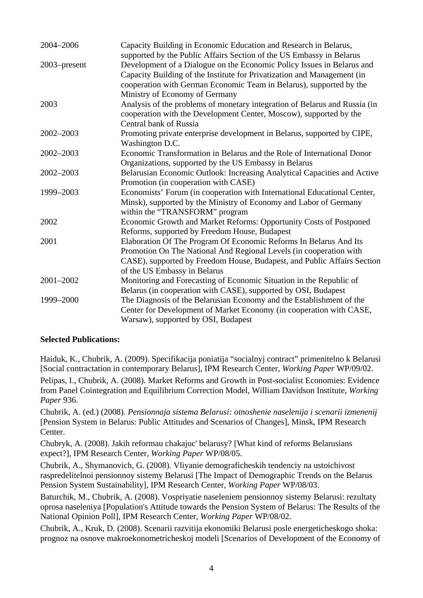| 2004-2006     | Capacity Building in Economic Education and Research in Belarus,<br>supported by the Public Affairs Section of the US Embassy in Belarus                                                                                                                   |
|---------------|------------------------------------------------------------------------------------------------------------------------------------------------------------------------------------------------------------------------------------------------------------|
| 2003–present  | Development of a Dialogue on the Economic Policy Issues in Belarus and<br>Capacity Building of the Institute for Privatization and Management (in<br>cooperation with German Economic Team in Belarus), supported by the<br>Ministry of Economy of Germany |
| 2003          | Analysis of the problems of monetary integration of Belarus and Russia (in<br>cooperation with the Development Center, Moscow), supported by the<br>Central bank of Russia                                                                                 |
| $2002 - 2003$ | Promoting private enterprise development in Belarus, supported by CIPE,<br>Washington D.C.                                                                                                                                                                 |
| 2002-2003     | Economic Transformation in Belarus and the Role of International Donor<br>Organizations, supported by the US Embassy in Belarus                                                                                                                            |
| $2002 - 2003$ | Belarusian Economic Outlook: Increasing Analytical Capacities and Active<br>Promotion (in cooperation with CASE)                                                                                                                                           |
| 1999-2003     | Economists' Forum (in cooperation with International Educational Center,<br>Minsk), supported by the Ministry of Economy and Labor of Germany<br>within the "TRANSFORM" program                                                                            |
| 2002          | Economic Growth and Market Reforms: Opportunity Costs of Postponed<br>Reforms, supported by Freedom House, Budapest                                                                                                                                        |
| 2001          | Elaboration Of The Program Of Economic Reforms In Belarus And Its<br>Promotion On The National And Regional Levels (in cooperation with<br>CASE), supported by Freedom House, Budapest, and Public Affairs Section<br>of the US Embassy in Belarus         |
| 2001-2002     | Monitoring and Forecasting of Economic Situation in the Republic of<br>Belarus (in cooperation with CASE), supported by OSI, Budapest                                                                                                                      |
| 1999-2000     | The Diagnosis of the Belarusian Economy and the Establishment of the<br>Center for Development of Market Economy (in cooperation with CASE,<br>Warsaw), supported by OSI, Budapest                                                                         |

#### **Selected Publications:**

Haiduk, K., Chubrik, A. (2009). Specifikacija poniatija "socialnyj contract" primenitelno k Belarusi [Social contractation in contemporary Belarus], IPM Research Center, *Working Paper* WP/09/02. Pelipas, I., Chubrik, A. (2008). Market Reforms and Growth in Post-socialist Economies: Evidence from Panel Cointegration and Equilibrium Correction Model, William Davidson Institute, *Working Paper* 936.

Chubrik, A. (ed.) (2008). *Pensionnaja sistema Belarusi: otnoshenie naselenija i scenarii izmenenij* [Pension System in Belarus: Public Attitudes and Scenarios of Changes], Minsk, IPM Research Center.

Chubryk, A. (2008). Jakih reformau chakajuc' belarusy? [What kind of reforms Belarusians expect?], IPM Research Center, *Working Paper* WP/08/05.

Chubrik, A., Shymanovich, G. (2008). Vliyanie demograficheskih tendenciy na ustoichivost raspredelitelnoi pensionnoy sistemy Belarusi [The Impact of Demographic Trends on the Belarus Pension System Sustainability], IPM Research Center, *Working Paper* WP/08/03.

Baturchik, M., Chubrik, A. (2008). Vospriyatie naseleniem pensionnoy sistemy Belarusi: rezultaty oprosa naseleniya [Population's Attitude towards the Pension System of Belarus: The Results of the National Opinion Poll], IPM Research Center, *Working Paper* WP/08/02.

Chubrik, A., Kruk, D. (2008). Scenarii razvitija ekonomiki Belarusi posle energeticheskogo shoka: prognoz na osnove makroekonometricheskoj modeli [Scenarios of Development of the Economy of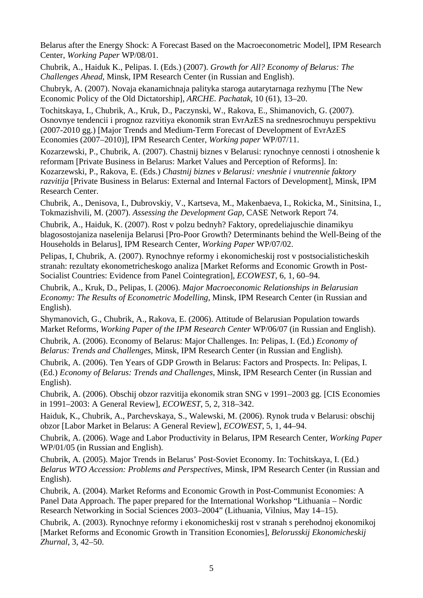Belarus after the Energy Shock: A Forecast Based on the Macroeconometric Model], IPM Research Center, *Working Paper* WP/08/01.

Chubrik, A., Haiduk K., Pelipas. I. (Eds.) (2007). *Growth for All? Economy of Belarus: The Challenges Ahead*, Minsk, IPM Research Center (in Russian and English).

Chubryk, A. (2007). Novaja ekanamichnaja palityka staroga autarytarnaga rezhymu [The New Economic Policy of the Old Dictatorship], *ARCHE. Pachatak*, 10 (61), 13–20.

Tochitskaya, I., Chubrik, A., Kruk, D., Paczynski, W., Rakova, E., Shimanovich, G. (2007). Osnovnye tendencii i prognoz razvitiya ekonomik stran EvrAzES na srednesrochnuyu perspektivu (2007-2010 gg.) [Major Trends and Medium-Term Forecast of Development of EvrAzES Economies (2007–2010)], IPM Research Center, *Working paper* WP/07/11.

Kozarzewski, P., Chubrik, A. (2007). Chastnij biznes v Belarusi: rynochnye cennosti i otnoshenie k reformam [Private Business in Belarus: Market Values and Perception of Reforms]. In: Kozarzewski, P., Rakova, E. (Eds.) *Chastnij biznes v Belarusi: vneshnie i vnutrennie faktory razvitija* [Private Business in Belarus: External and Internal Factors of Development], Minsk, IPM Research Center.

Chubrik, A., Denisova, I., Dubrovskiy, V., Kartseva, M., Makenbaeva, I., Rokicka, M., Sinitsina, I., Tokmazishvili, M. (2007). *Assessing the Development Gap*, CASE Network Report 74.

Chubrik, A., Haiduk, K. (2007). Rost v polzu bednyh? Faktory, opredeliajuschie dinamikyu blagosostojaniza naselenija Belarusi [Pro-Poor Growth? Determinants behind the Well-Being of the Households in Belarus], IPM Research Center, *Working Paper* WP/07/02.

Pelipas, I, Chubrik, A. (2007). Rynochnye reformy i ekonomicheskij rost v postsocialisticheskih stranah: rezultaty ekonometricheskogo analiza [Market Reforms and Economic Growth in Post-Socialist Countries: Evidence from Panel Cointegration], *ECOWEST*, 6, 1, 60–94.

Chubrik, A., Kruk, D., Pelipas, I. (2006). *Major Macroeconomic Relationships in Belarusian Economy: The Results of Econometric Modelling*, Minsk, IPM Research Center (in Russian and English).

Shymanovich, G., Chubrik, A., Rakova, E. (2006). Attitude of Belarusian Population towards Market Reforms, *Working Paper of the IPM Research Center* WP/06/07 (in Russian and English).

Chubrik, A. (2006). Economy of Belarus: Major Challenges. In: Pelipas, I. (Ed.) *Economy of Belarus: Trends and Challenges*, Minsk, IPM Research Center (in Russian and English).

Chubrik, A. (2006). Ten Years of GDP Growth in Belarus: Factors and Prospects. In: Pelipas, I. (Ed.) *Economy of Belarus: Trends and Challenges*, Minsk, IPM Research Center (in Russian and English).

Chubrik, A. (2006). Obschij obzor razvitija ekonomik stran SNG v 1991–2003 gg. [CIS Economies in 1991–2003: A General Review], *ECOWEST*, 5, 2, 318–342.

Haiduk, K., Chubrik, A., Parchevskaya, S., Walewski, M. (2006). Rynok truda v Belarusi: obschij obzor [Labor Market in Belarus: A General Review], *ECOWEST*, 5, 1, 44–94.

Chubrik, A. (2006). Wage and Labor Productivity in Belarus, IPM Research Center, *Working Paper* WP/01/05 (in Russian and English).

Chubrik, A. (2005). Major Trends in Belarus' Post-Soviet Economy. In: Tochitskaya, I. (Ed.) *Belarus WTO Accession: Problems and Perspectives*, Minsk, IPM Research Center (in Russian and English).

Chubrik, A. (2004). Market Reforms and Economic Growth in Post-Communist Economies: A Panel Data Approach. The paper prepared for the International Workshop "Lithuania – Nordic Research Networking in Social Sciences 2003–2004" (Lithuania, Vilnius, May 14–15).

Chubrik, A. (2003). Rynochnye reformy i ekonomicheskij rost v stranah s perehodnoj ekonomikoj [Market Reforms and Economic Growth in Transition Economies], *Belorusskij Ekonomicheskij Zhurnal*, 3, 42–50.